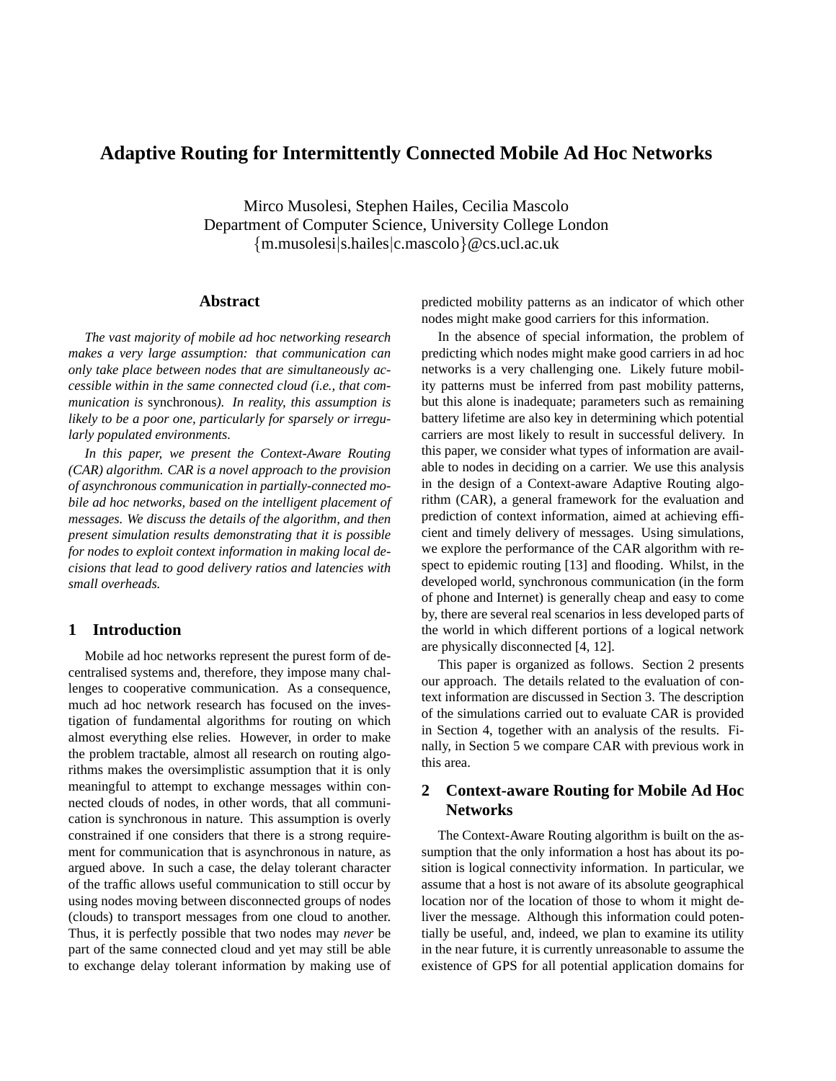# **Adaptive Routing for Intermittently Connected Mobile Ad Hoc Networks**

Mirco Musolesi, Stephen Hailes, Cecilia Mascolo Department of Computer Science, University College London {m.musolesi|s.hailes|c.mascolo}@cs.ucl.ac.uk

### **Abstract**

*The vast majority of mobile ad hoc networking research makes a very large assumption: that communication can only take place between nodes that are simultaneously accessible within in the same connected cloud (i.e., that communication is* synchronous*). In reality, this assumption is likely to be a poor one, particularly for sparsely or irregularly populated environments.*

*In this paper, we present the Context-Aware Routing (CAR) algorithm. CAR is a novel approach to the provision of asynchronous communication in partially-connected mobile ad hoc networks, based on the intelligent placement of messages. We discuss the details of the algorithm, and then present simulation results demonstrating that it is possible for nodes to exploit context information in making local decisions that lead to good delivery ratios and latencies with small overheads.*

# **1 Introduction**

Mobile ad hoc networks represent the purest form of decentralised systems and, therefore, they impose many challenges to cooperative communication. As a consequence, much ad hoc network research has focused on the investigation of fundamental algorithms for routing on which almost everything else relies. However, in order to make the problem tractable, almost all research on routing algorithms makes the oversimplistic assumption that it is only meaningful to attempt to exchange messages within connected clouds of nodes, in other words, that all communication is synchronous in nature. This assumption is overly constrained if one considers that there is a strong requirement for communication that is asynchronous in nature, as argued above. In such a case, the delay tolerant character of the traffic allows useful communication to still occur by using nodes moving between disconnected groups of nodes (clouds) to transport messages from one cloud to another. Thus, it is perfectly possible that two nodes may *never* be part of the same connected cloud and yet may still be able to exchange delay tolerant information by making use of predicted mobility patterns as an indicator of which other nodes might make good carriers for this information.

In the absence of special information, the problem of predicting which nodes might make good carriers in ad hoc networks is a very challenging one. Likely future mobility patterns must be inferred from past mobility patterns, but this alone is inadequate; parameters such as remaining battery lifetime are also key in determining which potential carriers are most likely to result in successful delivery. In this paper, we consider what types of information are available to nodes in deciding on a carrier. We use this analysis in the design of a Context-aware Adaptive Routing algorithm (CAR), a general framework for the evaluation and prediction of context information, aimed at achieving efficient and timely delivery of messages. Using simulations, we explore the performance of the CAR algorithm with respect to epidemic routing [13] and flooding. Whilst, in the developed world, synchronous communication (in the form of phone and Internet) is generally cheap and easy to come by, there are several real scenarios in less developed parts of the world in which different portions of a logical network are physically disconnected [4, 12].

This paper is organized as follows. Section 2 presents our approach. The details related to the evaluation of context information are discussed in Section 3. The description of the simulations carried out to evaluate CAR is provided in Section 4, together with an analysis of the results. Finally, in Section 5 we compare CAR with previous work in this area.

# **2 Context-aware Routing for Mobile Ad Hoc Networks**

The Context-Aware Routing algorithm is built on the assumption that the only information a host has about its position is logical connectivity information. In particular, we assume that a host is not aware of its absolute geographical location nor of the location of those to whom it might deliver the message. Although this information could potentially be useful, and, indeed, we plan to examine its utility in the near future, it is currently unreasonable to assume the existence of GPS for all potential application domains for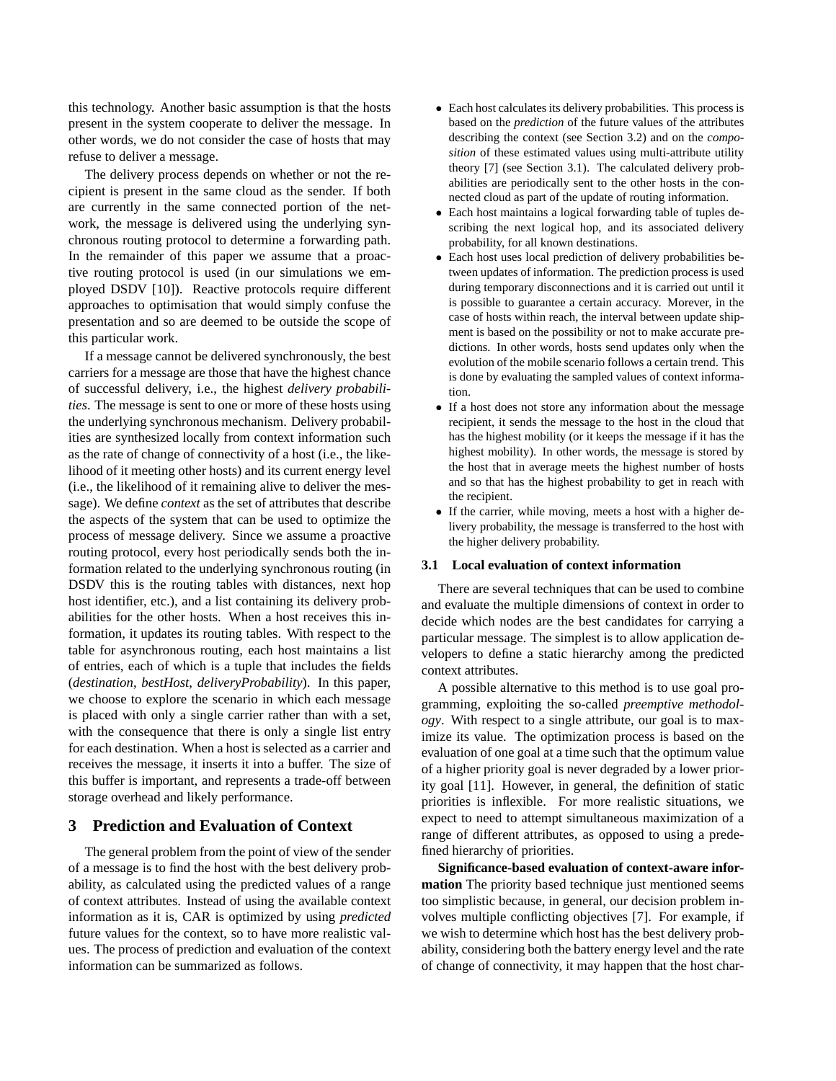this technology. Another basic assumption is that the hosts present in the system cooperate to deliver the message. In other words, we do not consider the case of hosts that may refuse to deliver a message.

The delivery process depends on whether or not the recipient is present in the same cloud as the sender. If both are currently in the same connected portion of the network, the message is delivered using the underlying synchronous routing protocol to determine a forwarding path. In the remainder of this paper we assume that a proactive routing protocol is used (in our simulations we employed DSDV [10]). Reactive protocols require different approaches to optimisation that would simply confuse the presentation and so are deemed to be outside the scope of this particular work.

If a message cannot be delivered synchronously, the best carriers for a message are those that have the highest chance of successful delivery, i.e., the highest *delivery probabilities*. The message is sent to one or more of these hosts using the underlying synchronous mechanism. Delivery probabilities are synthesized locally from context information such as the rate of change of connectivity of a host (i.e., the likelihood of it meeting other hosts) and its current energy level (i.e., the likelihood of it remaining alive to deliver the message). We define *context* as the set of attributes that describe the aspects of the system that can be used to optimize the process of message delivery. Since we assume a proactive routing protocol, every host periodically sends both the information related to the underlying synchronous routing (in DSDV this is the routing tables with distances, next hop host identifier, etc.), and a list containing its delivery probabilities for the other hosts. When a host receives this information, it updates its routing tables. With respect to the table for asynchronous routing, each host maintains a list of entries, each of which is a tuple that includes the fields (*destination*, *bestHost*, *deliveryProbability*). In this paper, we choose to explore the scenario in which each message is placed with only a single carrier rather than with a set, with the consequence that there is only a single list entry for each destination. When a host is selected as a carrier and receives the message, it inserts it into a buffer. The size of this buffer is important, and represents a trade-off between storage overhead and likely performance.

## **3 Prediction and Evaluation of Context**

The general problem from the point of view of the sender of a message is to find the host with the best delivery probability, as calculated using the predicted values of a range of context attributes. Instead of using the available context information as it is, CAR is optimized by using *predicted* future values for the context, so to have more realistic values. The process of prediction and evaluation of the context information can be summarized as follows.

- Each host calculates its delivery probabilities. This process is based on the *prediction* of the future values of the attributes describing the context (see Section 3.2) and on the *composition* of these estimated values using multi-attribute utility theory [7] (see Section 3.1). The calculated delivery probabilities are periodically sent to the other hosts in the connected cloud as part of the update of routing information.
- Each host maintains a logical forwarding table of tuples describing the next logical hop, and its associated delivery probability, for all known destinations.
- Each host uses local prediction of delivery probabilities between updates of information. The prediction process is used during temporary disconnections and it is carried out until it is possible to guarantee a certain accuracy. Morever, in the case of hosts within reach, the interval between update shipment is based on the possibility or not to make accurate predictions. In other words, hosts send updates only when the evolution of the mobile scenario follows a certain trend. This is done by evaluating the sampled values of context information.
- If a host does not store any information about the message recipient, it sends the message to the host in the cloud that has the highest mobility (or it keeps the message if it has the highest mobility). In other words, the message is stored by the host that in average meets the highest number of hosts and so that has the highest probability to get in reach with the recipient.
- If the carrier, while moving, meets a host with a higher delivery probability, the message is transferred to the host with the higher delivery probability.

#### **3.1 Local evaluation of context information**

There are several techniques that can be used to combine and evaluate the multiple dimensions of context in order to decide which nodes are the best candidates for carrying a particular message. The simplest is to allow application developers to define a static hierarchy among the predicted context attributes.

A possible alternative to this method is to use goal programming, exploiting the so-called *preemptive methodology*. With respect to a single attribute, our goal is to maximize its value. The optimization process is based on the evaluation of one goal at a time such that the optimum value of a higher priority goal is never degraded by a lower priority goal [11]. However, in general, the definition of static priorities is inflexible. For more realistic situations, we expect to need to attempt simultaneous maximization of a range of different attributes, as opposed to using a predefined hierarchy of priorities.

**Significance-based evaluation of context-aware information** The priority based technique just mentioned seems too simplistic because, in general, our decision problem involves multiple conflicting objectives [7]. For example, if we wish to determine which host has the best delivery probability, considering both the battery energy level and the rate of change of connectivity, it may happen that the host char-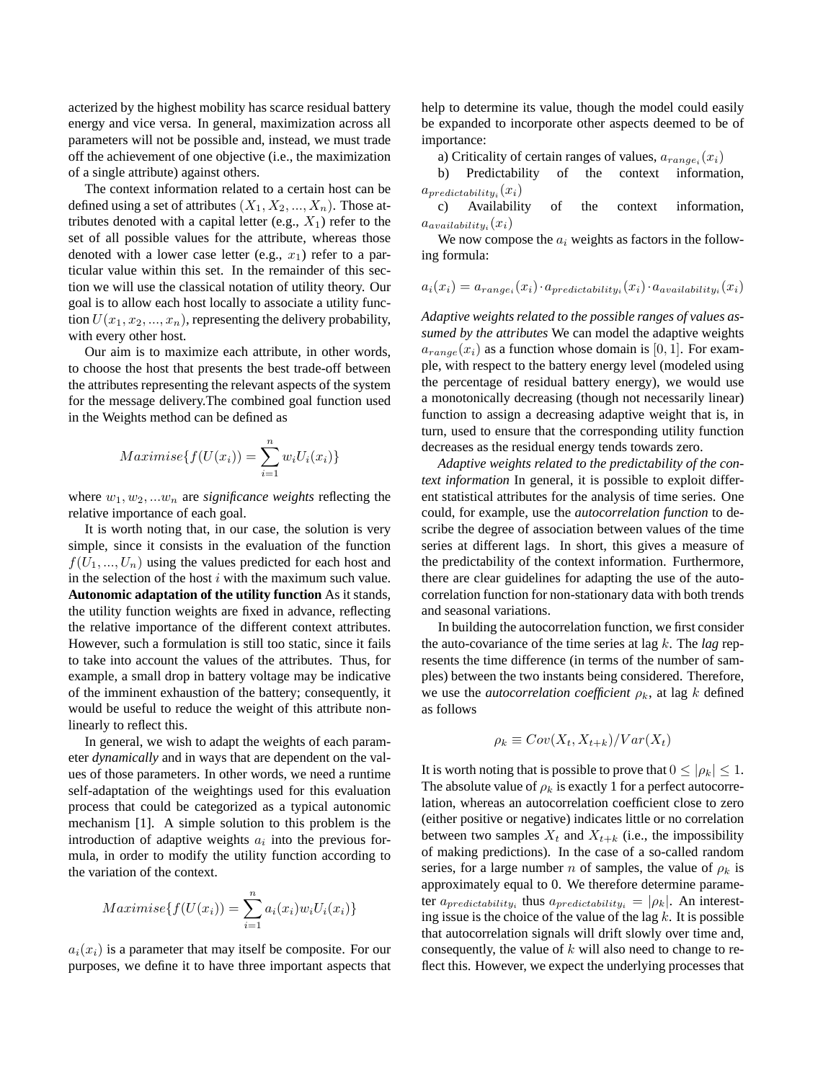acterized by the highest mobility has scarce residual battery energy and vice versa. In general, maximization across all parameters will not be possible and, instead, we must trade off the achievement of one objective (i.e., the maximization of a single attribute) against others.

The context information related to a certain host can be defined using a set of attributes  $(X_1, X_2, ..., X_n)$ . Those attributes denoted with a capital letter (e.g.,  $X_1$ ) refer to the set of all possible values for the attribute, whereas those denoted with a lower case letter (e.g.,  $x_1$ ) refer to a particular value within this set. In the remainder of this section we will use the classical notation of utility theory. Our goal is to allow each host locally to associate a utility function  $U(x_1, x_2, ..., x_n)$ , representing the delivery probability, with every other host.

Our aim is to maximize each attribute, in other words, to choose the host that presents the best trade-off between the attributes representing the relevant aspects of the system for the message delivery.The combined goal function used in the Weights method can be defined as

$$
Maximise\{f(U(x_i)) = \sum_{i=1}^{n} w_i U_i(x_i)\}\
$$

where  $w_1, w_2, ... w_n$  are *significance weights* reflecting the relative importance of each goal.

It is worth noting that, in our case, the solution is very simple, since it consists in the evaluation of the function  $f(U_1, ..., U_n)$  using the values predicted for each host and in the selection of the host  $i$  with the maximum such value. **Autonomic adaptation of the utility function** As it stands, the utility function weights are fixed in advance, reflecting the relative importance of the different context attributes. However, such a formulation is still too static, since it fails to take into account the values of the attributes. Thus, for example, a small drop in battery voltage may be indicative of the imminent exhaustion of the battery; consequently, it would be useful to reduce the weight of this attribute nonlinearly to reflect this.

In general, we wish to adapt the weights of each parameter *dynamically* and in ways that are dependent on the values of those parameters. In other words, we need a runtime self-adaptation of the weightings used for this evaluation process that could be categorized as a typical autonomic mechanism [1]. A simple solution to this problem is the introduction of adaptive weights  $a_i$  into the previous formula, in order to modify the utility function according to the variation of the context.

$$
Maximise\{f(U(x_i)) = \sum_{i=1}^{n} a_i(x_i)w_iU_i(x_i)\}\
$$

 $a_i(x_i)$  is a parameter that may itself be composite. For our purposes, we define it to have three important aspects that help to determine its value, though the model could easily be expanded to incorporate other aspects deemed to be of importance:

a) Criticality of certain ranges of values,  $a_{range_i}(x_i)$ 

b) Predictability of the context information,  $a_{predictability_i}(x_i)$ 

c) Availability of the context information,  $a_{availability_i}(x_i)$ 

We now compose the  $a_i$  weights as factors in the following formula:

$$
a_i(x_i) = a_{range_i}(x_i) \cdot a_{predictability_i}(x_i) \cdot a_{availability_i}(x_i)
$$

*Adaptive weights related to the possible ranges of values assumed by the attributes* We can model the adaptive weights  $a_{range}(x_i)$  as a function whose domain is [0, 1]. For example, with respect to the battery energy level (modeled using the percentage of residual battery energy), we would use a monotonically decreasing (though not necessarily linear) function to assign a decreasing adaptive weight that is, in turn, used to ensure that the corresponding utility function decreases as the residual energy tends towards zero.

*Adaptive weights related to the predictability of the context information* In general, it is possible to exploit different statistical attributes for the analysis of time series. One could, for example, use the *autocorrelation function* to describe the degree of association between values of the time series at different lags. In short, this gives a measure of the predictability of the context information. Furthermore, there are clear guidelines for adapting the use of the autocorrelation function for non-stationary data with both trends and seasonal variations.

In building the autocorrelation function, we first consider the auto-covariance of the time series at lag k. The *lag* represents the time difference (in terms of the number of samples) between the two instants being considered. Therefore, we use the *autocorrelation coefficient*  $\rho_k$ , at lag k defined as follows

$$
\rho_k \equiv Cov(X_t, X_{t+k})/Var(X_t)
$$

It is worth noting that is possible to prove that  $0 \leq |\rho_k| \leq 1$ . The absolute value of  $\rho_k$  is exactly 1 for a perfect autocorrelation, whereas an autocorrelation coefficient close to zero (either positive or negative) indicates little or no correlation between two samples  $X_t$  and  $X_{t+k}$  (i.e., the impossibility of making predictions). In the case of a so-called random series, for a large number n of samples, the value of  $\rho_k$  is approximately equal to 0. We therefore determine parameter  $a_{predictability_i}$  thus  $a_{predictability_i} = |\rho_k|$ . An interesting issue is the choice of the value of the lag  $k$ . It is possible that autocorrelation signals will drift slowly over time and, consequently, the value of  $k$  will also need to change to reflect this. However, we expect the underlying processes that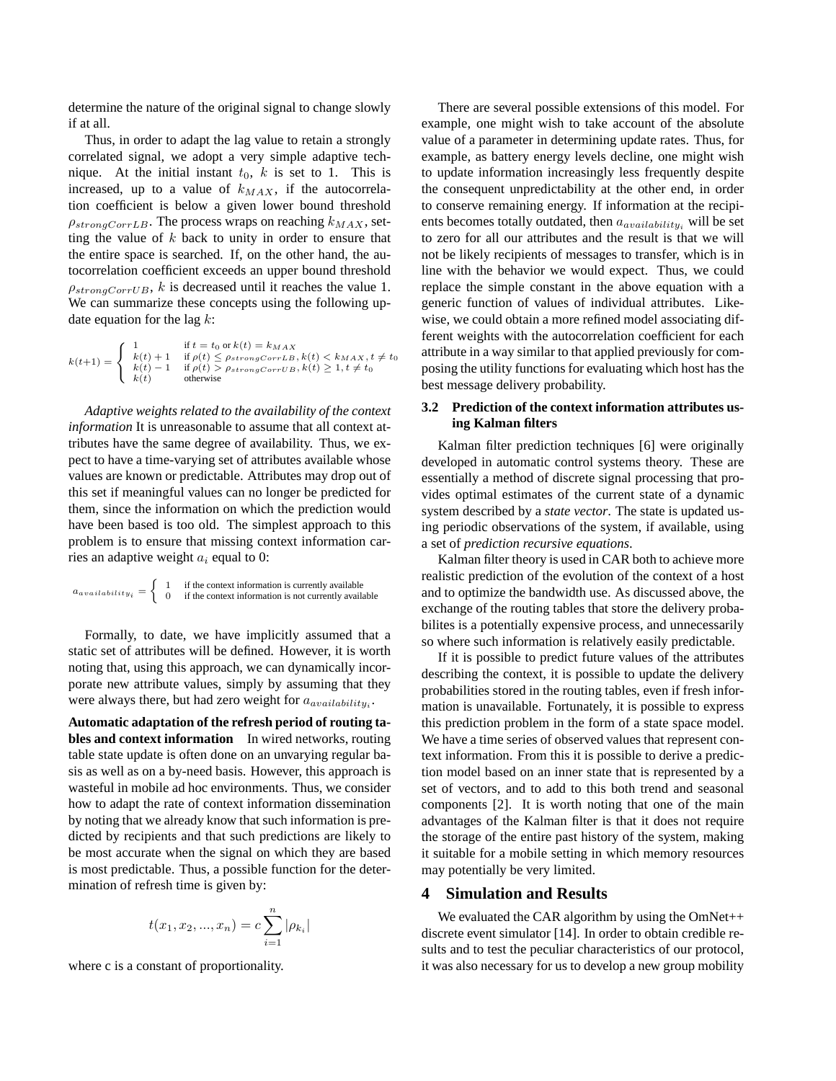determine the nature of the original signal to change slowly if at all.

Thus, in order to adapt the lag value to retain a strongly correlated signal, we adopt a very simple adaptive technique. At the initial instant  $t_0$ , k is set to 1. This is increased, up to a value of  $k_{MAX}$ , if the autocorrelation coefficient is below a given lower bound threshold  $\rho_{strongCorrLB}$ . The process wraps on reaching  $k_{MAX}$ , setting the value of  $k$  back to unity in order to ensure that the entire space is searched. If, on the other hand, the autocorrelation coefficient exceeds an upper bound threshold  $\rho_{strongCorrUB}$ , k is decreased until it reaches the value 1. We can summarize these concepts using the following update equation for the lag  $k$ :

$$
k(t+1) = \begin{cases} 1 & \text{if } t = t_0 \text{ or } k(t) = k_{MAX} \\ k(t) + 1 & \text{if } \rho(t) \le \rho_{strongCorrLB}, k(t) < k_{MAX}, t \ne t_0 \\ k(t) - 1 & \text{if } \rho(t) > \rho_{strongCorrUB}, k(t) \ge 1, t \ne t_0 \\ k(t) & \text{otherwise} \end{cases}
$$

*Adaptive weights related to the availability of the context information* It is unreasonable to assume that all context attributes have the same degree of availability. Thus, we expect to have a time-varying set of attributes available whose values are known or predictable. Attributes may drop out of this set if meaningful values can no longer be predicted for them, since the information on which the prediction would have been based is too old. The simplest approach to this problem is to ensure that missing context information carries an adaptive weight  $a_i$  equal to 0:

$$
a_{availability_i} = \begin{cases} 1 & \text{if the context information is currently available} \\ 0 & \text{if the context information is not currently available} \end{cases}
$$

Formally, to date, we have implicitly assumed that a static set of attributes will be defined. However, it is worth noting that, using this approach, we can dynamically incorporate new attribute values, simply by assuming that they were always there, but had zero weight for  $a_{availabilityi}$ .

**Automatic adaptation of the refresh period of routing tables and context information** In wired networks, routing table state update is often done on an unvarying regular basis as well as on a by-need basis. However, this approach is wasteful in mobile ad hoc environments. Thus, we consider how to adapt the rate of context information dissemination by noting that we already know that such information is predicted by recipients and that such predictions are likely to be most accurate when the signal on which they are based is most predictable. Thus, a possible function for the determination of refresh time is given by:

$$
t(x_1, x_2, ..., x_n) = c \sum_{i=1}^n |\rho_{k_i}|
$$

where c is a constant of proportionality.

There are several possible extensions of this model. For example, one might wish to take account of the absolute value of a parameter in determining update rates. Thus, for example, as battery energy levels decline, one might wish to update information increasingly less frequently despite the consequent unpredictability at the other end, in order to conserve remaining energy. If information at the recipients becomes totally outdated, then  $a_{availability_i}$  will be set to zero for all our attributes and the result is that we will not be likely recipients of messages to transfer, which is in line with the behavior we would expect. Thus, we could replace the simple constant in the above equation with a generic function of values of individual attributes. Likewise, we could obtain a more refined model associating different weights with the autocorrelation coefficient for each attribute in a way similar to that applied previously for composing the utility functions for evaluating which host has the best message delivery probability.

#### **3.2 Prediction of the context information attributes using Kalman filters**

Kalman filter prediction techniques [6] were originally developed in automatic control systems theory. These are essentially a method of discrete signal processing that provides optimal estimates of the current state of a dynamic system described by a *state vector*. The state is updated using periodic observations of the system, if available, using a set of *prediction recursive equations*.

Kalman filter theory is used in CAR both to achieve more realistic prediction of the evolution of the context of a host and to optimize the bandwidth use. As discussed above, the exchange of the routing tables that store the delivery probabilites is a potentially expensive process, and unnecessarily so where such information is relatively easily predictable.

If it is possible to predict future values of the attributes describing the context, it is possible to update the delivery probabilities stored in the routing tables, even if fresh information is unavailable. Fortunately, it is possible to express this prediction problem in the form of a state space model. We have a time series of observed values that represent context information. From this it is possible to derive a prediction model based on an inner state that is represented by a set of vectors, and to add to this both trend and seasonal components [2]. It is worth noting that one of the main advantages of the Kalman filter is that it does not require the storage of the entire past history of the system, making it suitable for a mobile setting in which memory resources may potentially be very limited.

#### **4 Simulation and Results**

We evaluated the CAR algorithm by using the OmNet++ discrete event simulator [14]. In order to obtain credible results and to test the peculiar characteristics of our protocol, it was also necessary for us to develop a new group mobility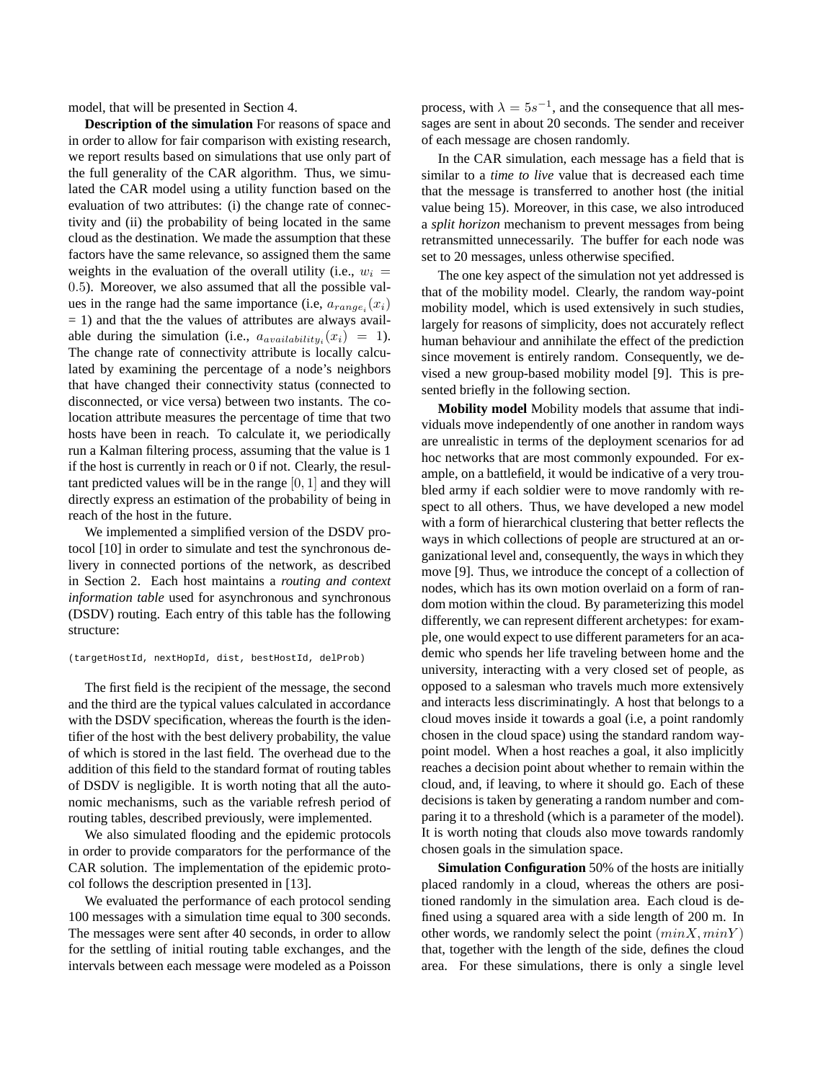model, that will be presented in Section 4.

**Description of the simulation** For reasons of space and in order to allow for fair comparison with existing research, we report results based on simulations that use only part of the full generality of the CAR algorithm. Thus, we simulated the CAR model using a utility function based on the evaluation of two attributes: (i) the change rate of connectivity and (ii) the probability of being located in the same cloud as the destination. We made the assumption that these factors have the same relevance, so assigned them the same weights in the evaluation of the overall utility (i.e.,  $w_i =$ 0.5). Moreover, we also assumed that all the possible values in the range had the same importance (i.e,  $a_{range_i}(x_i)$ = 1) and that the the values of attributes are always available during the simulation (i.e.,  $a_{availability_i}(x_i) = 1$ ). The change rate of connectivity attribute is locally calculated by examining the percentage of a node's neighbors that have changed their connectivity status (connected to disconnected, or vice versa) between two instants. The colocation attribute measures the percentage of time that two hosts have been in reach. To calculate it, we periodically run a Kalman filtering process, assuming that the value is 1 if the host is currently in reach or 0 if not. Clearly, the resultant predicted values will be in the range  $[0, 1]$  and they will directly express an estimation of the probability of being in reach of the host in the future.

We implemented a simplified version of the DSDV protocol [10] in order to simulate and test the synchronous delivery in connected portions of the network, as described in Section 2. Each host maintains a *routing and context information table* used for asynchronous and synchronous (DSDV) routing. Each entry of this table has the following structure:

#### (targetHostId, nextHopId, dist, bestHostId, delProb)

The first field is the recipient of the message, the second and the third are the typical values calculated in accordance with the DSDV specification, whereas the fourth is the identifier of the host with the best delivery probability, the value of which is stored in the last field. The overhead due to the addition of this field to the standard format of routing tables of DSDV is negligible. It is worth noting that all the autonomic mechanisms, such as the variable refresh period of routing tables, described previously, were implemented.

We also simulated flooding and the epidemic protocols in order to provide comparators for the performance of the CAR solution. The implementation of the epidemic protocol follows the description presented in [13].

We evaluated the performance of each protocol sending 100 messages with a simulation time equal to 300 seconds. The messages were sent after 40 seconds, in order to allow for the settling of initial routing table exchanges, and the intervals between each message were modeled as a Poisson

process, with  $\lambda = 5s^{-1}$ , and the consequence that all messages are sent in about 20 seconds. The sender and receiver of each message are chosen randomly.

In the CAR simulation, each message has a field that is similar to a *time to live* value that is decreased each time that the message is transferred to another host (the initial value being 15). Moreover, in this case, we also introduced a *split horizon* mechanism to prevent messages from being retransmitted unnecessarily. The buffer for each node was set to 20 messages, unless otherwise specified.

The one key aspect of the simulation not yet addressed is that of the mobility model. Clearly, the random way-point mobility model, which is used extensively in such studies, largely for reasons of simplicity, does not accurately reflect human behaviour and annihilate the effect of the prediction since movement is entirely random. Consequently, we devised a new group-based mobility model [9]. This is presented briefly in the following section.

**Mobility model** Mobility models that assume that individuals move independently of one another in random ways are unrealistic in terms of the deployment scenarios for ad hoc networks that are most commonly expounded. For example, on a battlefield, it would be indicative of a very troubled army if each soldier were to move randomly with respect to all others. Thus, we have developed a new model with a form of hierarchical clustering that better reflects the ways in which collections of people are structured at an organizational level and, consequently, the ways in which they move [9]. Thus, we introduce the concept of a collection of nodes, which has its own motion overlaid on a form of random motion within the cloud. By parameterizing this model differently, we can represent different archetypes: for example, one would expect to use different parameters for an academic who spends her life traveling between home and the university, interacting with a very closed set of people, as opposed to a salesman who travels much more extensively and interacts less discriminatingly. A host that belongs to a cloud moves inside it towards a goal (i.e, a point randomly chosen in the cloud space) using the standard random waypoint model. When a host reaches a goal, it also implicitly reaches a decision point about whether to remain within the cloud, and, if leaving, to where it should go. Each of these decisions is taken by generating a random number and comparing it to a threshold (which is a parameter of the model). It is worth noting that clouds also move towards randomly chosen goals in the simulation space.

**Simulation Configuration** 50% of the hosts are initially placed randomly in a cloud, whereas the others are positioned randomly in the simulation area. Each cloud is defined using a squared area with a side length of 200 m. In other words, we randomly select the point  $(minX, minY)$ that, together with the length of the side, defines the cloud area. For these simulations, there is only a single level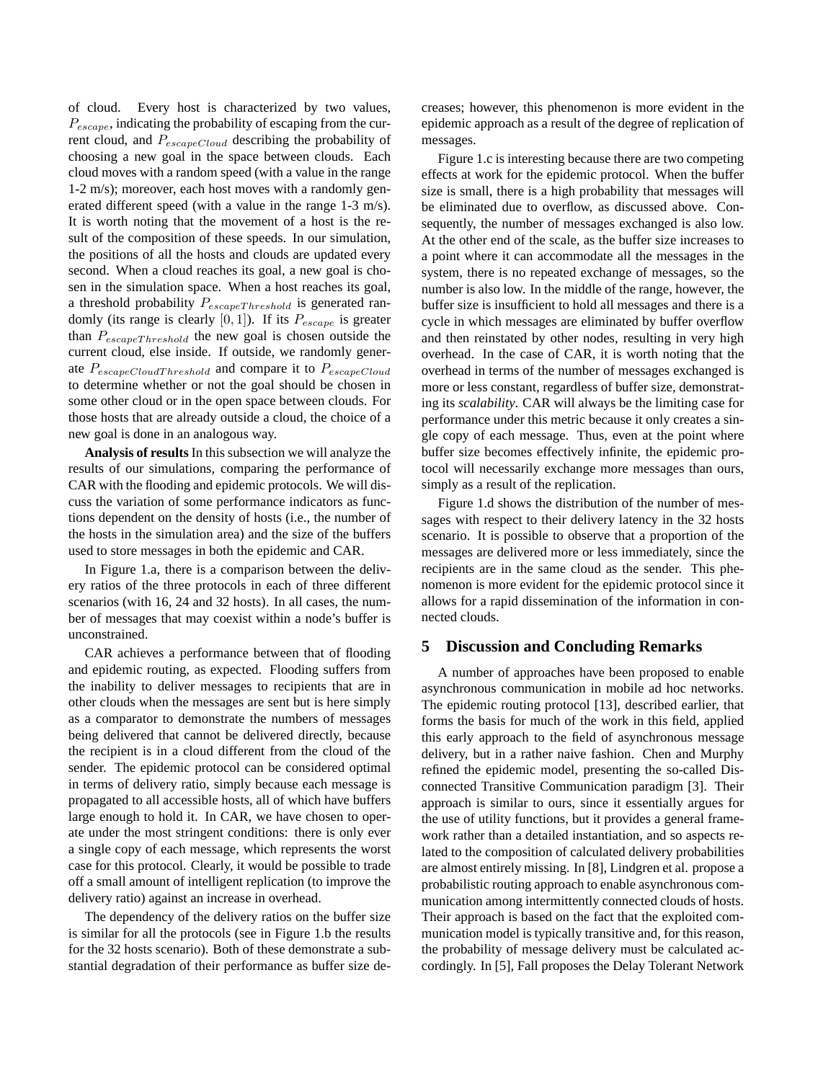of cloud. Every host is characterized by two values,  $P_{escape}$ , indicating the probability of escaping from the current cloud, and  $P_{escapeCloud}$  describing the probability of choosing a new goal in the space between clouds. Each cloud moves with a random speed (with a value in the range 1-2 m/s); moreover, each host moves with a randomly generated different speed (with a value in the range 1-3 m/s). It is worth noting that the movement of a host is the result of the composition of these speeds. In our simulation, the positions of all the hosts and clouds are updated every second. When a cloud reaches its goal, a new goal is chosen in the simulation space. When a host reaches its goal, a threshold probability  $P_{escapeThreshold}$  is generated randomly (its range is clearly [0, 1]). If its  $P_{escape}$  is greater than  $P_{escapeThreshold}$  the new goal is chosen outside the current cloud, else inside. If outside, we randomly generate  $P_{escapeCloudThreshold}$  and compare it to  $P_{escapeCloud}$ to determine whether or not the goal should be chosen in some other cloud or in the open space between clouds. For those hosts that are already outside a cloud, the choice of a new goal is done in an analogous way.

**Analysis of results** In this subsection we will analyze the results of our simulations, comparing the performance of CAR with the flooding and epidemic protocols. We will discuss the variation of some performance indicators as functions dependent on the density of hosts (i.e., the number of the hosts in the simulation area) and the size of the buffers used to store messages in both the epidemic and CAR.

In Figure 1.a, there is a comparison between the delivery ratios of the three protocols in each of three different scenarios (with 16, 24 and 32 hosts). In all cases, the number of messages that may coexist within a node's buffer is unconstrained.

CAR achieves a performance between that of flooding and epidemic routing, as expected. Flooding suffers from the inability to deliver messages to recipients that are in other clouds when the messages are sent but is here simply as a comparator to demonstrate the numbers of messages being delivered that cannot be delivered directly, because the recipient is in a cloud different from the cloud of the sender. The epidemic protocol can be considered optimal in terms of delivery ratio, simply because each message is propagated to all accessible hosts, all of which have buffers large enough to hold it. In CAR, we have chosen to operate under the most stringent conditions: there is only ever a single copy of each message, which represents the worst case for this protocol. Clearly, it would be possible to trade off a small amount of intelligent replication (to improve the delivery ratio) against an increase in overhead.

The dependency of the delivery ratios on the buffer size is similar for all the protocols (see in Figure 1.b the results for the 32 hosts scenario). Both of these demonstrate a substantial degradation of their performance as buffer size decreases; however, this phenomenon is more evident in the epidemic approach as a result of the degree of replication of messages.

Figure 1.c is interesting because there are two competing effects at work for the epidemic protocol. When the buffer size is small, there is a high probability that messages will be eliminated due to overflow, as discussed above. Consequently, the number of messages exchanged is also low. At the other end of the scale, as the buffer size increases to a point where it can accommodate all the messages in the system, there is no repeated exchange of messages, so the number is also low. In the middle of the range, however, the buffer size is insufficient to hold all messages and there is a cycle in which messages are eliminated by buffer overflow and then reinstated by other nodes, resulting in very high overhead. In the case of CAR, it is worth noting that the overhead in terms of the number of messages exchanged is more or less constant, regardless of buffer size, demonstrating its *scalability*. CAR will always be the limiting case for performance under this metric because it only creates a single copy of each message. Thus, even at the point where buffer size becomes effectively infinite, the epidemic protocol will necessarily exchange more messages than ours, simply as a result of the replication.

Figure 1.d shows the distribution of the number of messages with respect to their delivery latency in the 32 hosts scenario. It is possible to observe that a proportion of the messages are delivered more or less immediately, since the recipients are in the same cloud as the sender. This phenomenon is more evident for the epidemic protocol since it allows for a rapid dissemination of the information in connected clouds.

# **5 Discussion and Concluding Remarks**

A number of approaches have been proposed to enable asynchronous communication in mobile ad hoc networks. The epidemic routing protocol [13], described earlier, that forms the basis for much of the work in this field, applied this early approach to the field of asynchronous message delivery, but in a rather naive fashion. Chen and Murphy refined the epidemic model, presenting the so-called Disconnected Transitive Communication paradigm [3]. Their approach is similar to ours, since it essentially argues for the use of utility functions, but it provides a general framework rather than a detailed instantiation, and so aspects related to the composition of calculated delivery probabilities are almost entirely missing. In [8], Lindgren et al. propose a probabilistic routing approach to enable asynchronous communication among intermittently connected clouds of hosts. Their approach is based on the fact that the exploited communication model is typically transitive and, for this reason, the probability of message delivery must be calculated accordingly. In [5], Fall proposes the Delay Tolerant Network